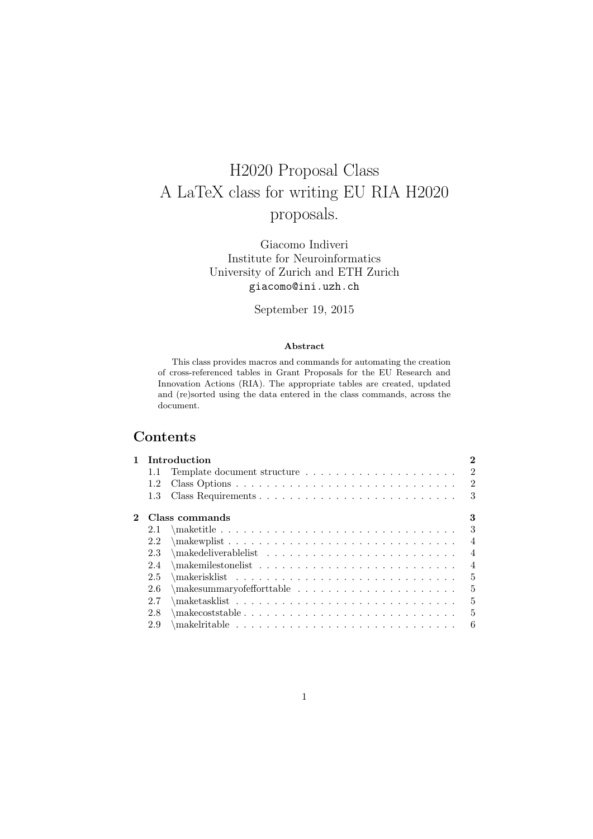# H2020 Proposal Class A LaTeX class for writing EU RIA H2020 proposals.

Giacomo Indiveri Institute for Neuroinformatics University of Zurich and ETH Zurich giacomo@ini.uzh.ch

September 19, 2015

#### **Abstract**

This class provides macros and commands for automating the creation of cross-referenced tables in Grant Proposals for the EU Research and Innovation Actions (RIA). The appropriate tables are created, updated and (re)sorted using the data entered in the class commands, across the document.

## **Contents**

| 1        | Introduction |                                                                                                                                                                                                                                                                                                                                           |                |  |
|----------|--------------|-------------------------------------------------------------------------------------------------------------------------------------------------------------------------------------------------------------------------------------------------------------------------------------------------------------------------------------------|----------------|--|
|          | 1.1          | Template document structure                                                                                                                                                                                                                                                                                                               | $\overline{2}$ |  |
|          | 1.2          |                                                                                                                                                                                                                                                                                                                                           | $\overline{2}$ |  |
|          | 1.3          |                                                                                                                                                                                                                                                                                                                                           | 3              |  |
| $\bf{2}$ |              | Class commands                                                                                                                                                                                                                                                                                                                            | 3              |  |
|          | 2.1          |                                                                                                                                                                                                                                                                                                                                           | 3              |  |
|          | 2.2          | $\mathbb{R}$ : $\mathbb{R}$ : $\mathbb{R}$ : $\mathbb{R}$ : $\mathbb{R}$ : $\mathbb{R}$ : $\mathbb{R}$ : $\mathbb{R}$ : $\mathbb{R}$ : $\mathbb{R}$ : $\mathbb{R}$ : $\mathbb{R}$ : $\mathbb{R}$ : $\mathbb{R}$ : $\mathbb{R}$ : $\mathbb{R}$ : $\mathbb{R}$ : $\mathbb{R}$ : $\mathbb{R}$ : $\mathbb{R}$ : $\mathbb{R}$ : $\mathbb{R}$ : | $\overline{4}$ |  |
|          | 2.3          |                                                                                                                                                                                                                                                                                                                                           | $\overline{4}$ |  |
|          | 2.4          |                                                                                                                                                                                                                                                                                                                                           | $\overline{4}$ |  |
|          | 2.5          |                                                                                                                                                                                                                                                                                                                                           | 5              |  |
|          | 2.6          |                                                                                                                                                                                                                                                                                                                                           | $\overline{5}$ |  |
|          | 2.7          |                                                                                                                                                                                                                                                                                                                                           | 5              |  |
|          | 2.8          |                                                                                                                                                                                                                                                                                                                                           | 5              |  |
|          | 2.9          |                                                                                                                                                                                                                                                                                                                                           | 6              |  |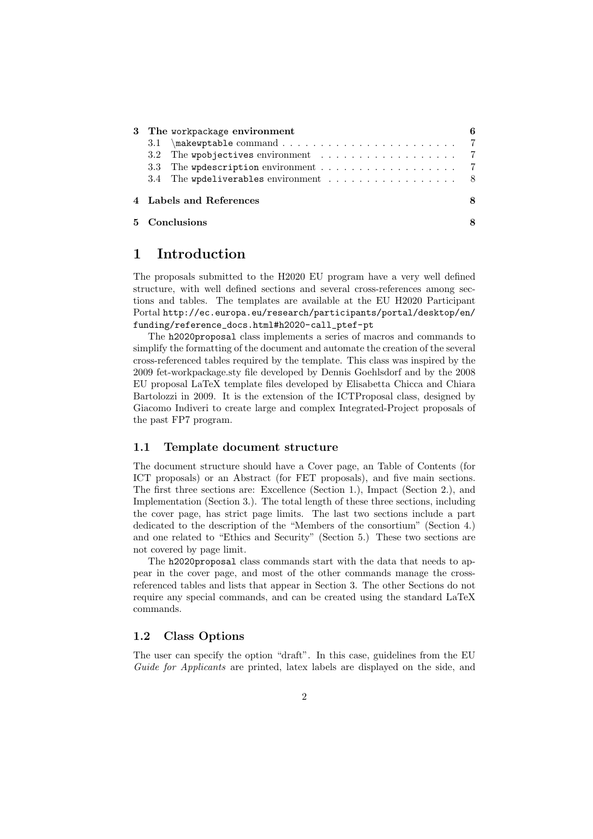|                         | 3 The workpackage environment                                      |  |  |
|-------------------------|--------------------------------------------------------------------|--|--|
|                         |                                                                    |  |  |
|                         |                                                                    |  |  |
|                         |                                                                    |  |  |
|                         | 3.4 The wpdeliverables environment $\dots \dots \dots \dots \dots$ |  |  |
| 4 Labels and References |                                                                    |  |  |
| 5 Conclusions           |                                                                    |  |  |

## **1 Introduction**

The proposals submitted to the H2020 EU program have a very well defined structure, with well defined sections and several cross-references among sections and tables. The templates are available at the EU H2020 Participant Portal http://ec.europa.eu/research/participants/portal/desktop/en/ funding/reference\_docs.html#h2020-call\_ptef-pt

The h2020proposal class implements a series of macros and commands to simplify the formatting of the document and automate the creation of the several cross-referenced tables required by the template. This class was inspired by the 2009 fet-workpackage.sty file developed by Dennis Goehlsdorf and by the 2008 EU proposal LaTeX template files developed by Elisabetta Chicca and Chiara Bartolozzi in 2009. It is the extension of the ICTProposal class, designed by Giacomo Indiveri to create large and complex Integrated-Project proposals of the past FP7 program.

#### **1.1 Template document structure**

The document structure should have a Cover page, an Table of Contents (for ICT proposals) or an Abstract (for FET proposals), and five main sections. The first three sections are: Excellence (Section 1.), Impact (Section 2.), and Implementation (Section 3.). The total length of these three sections, including the cover page, has strict page limits. The last two sections include a part dedicated to the description of the "Members of the consortium" (Section 4.) and one related to "Ethics and Security" (Section 5.) These two sections are not covered by page limit.

The h2020proposal class commands start with the data that needs to appear in the cover page, and most of the other commands manage the crossreferenced tables and lists that appear in Section 3. The other Sections do not require any special commands, and can be created using the standard LaTeX commands.

#### **1.2 Class Options**

The user can specify the option "draft". In this case, guidelines from the EU *Guide for Applicants* are printed, latex labels are displayed on the side, and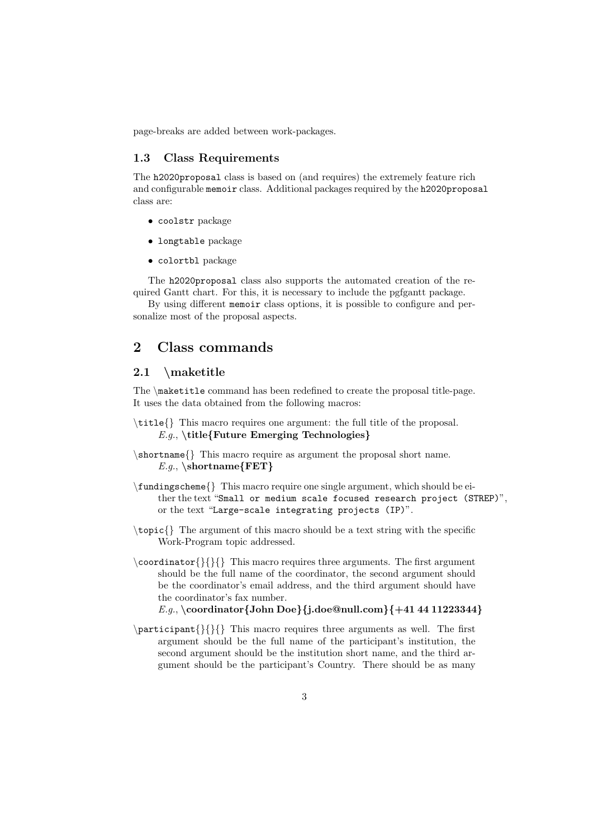page-breaks are added between work-packages.

#### **1.3 Class Requirements**

The h2020proposal class is based on (and requires) the extremely feature rich and configurable memoir class. Additional packages required by the h2020proposal class are:

- *•* coolstr package
- *•* longtable package
- *•* colortbl package

The h2020proposal class also supports the automated creation of the required Gantt chart. For this, it is necessary to include the pgfgantt package.

By using different memoir class options, it is possible to configure and personalize most of the proposal aspects.

## **2 Class commands**

#### **2.1** *\***maketitle**

The *\*maketitle command has been redefined to create the proposal title-page. It uses the data obtained from the following macros:

- *\*title*{}* This macro requires one argument: the full title of the proposal. *E.g.*, *\***title***{***Future Emerging Technologies***}*
- *\*shortname*{}* This macro require as argument the proposal short name. *E.g.*, *\***shortname***{***FET***}*
- *\*fundingscheme*{}* This macro require one single argument, which should be either the text "Small or medium scale focused research project (STREP)", or the text "Large-scale integrating projects (IP)".
- *\*topic*{}* The argument of this macro should be a text string with the specific Work-Program topic addressed.
- *\*coordinator*{}{}{}* This macro requires three arguments. The first argument should be the full name of the coordinator, the second argument should be the coordinator's email address, and the third argument should have the coordinator's fax number. *E.g.*, *\***coordinator***{***John Doe***}{***j.doe@null.com***}{***+41 44 11223344***}*
- *\*participant*{}{}{}* This macro requires three arguments as well. The first argument should be the full name of the participant's institution, the second argument should be the institution short name, and the third argument should be the participant's Country. There should be as many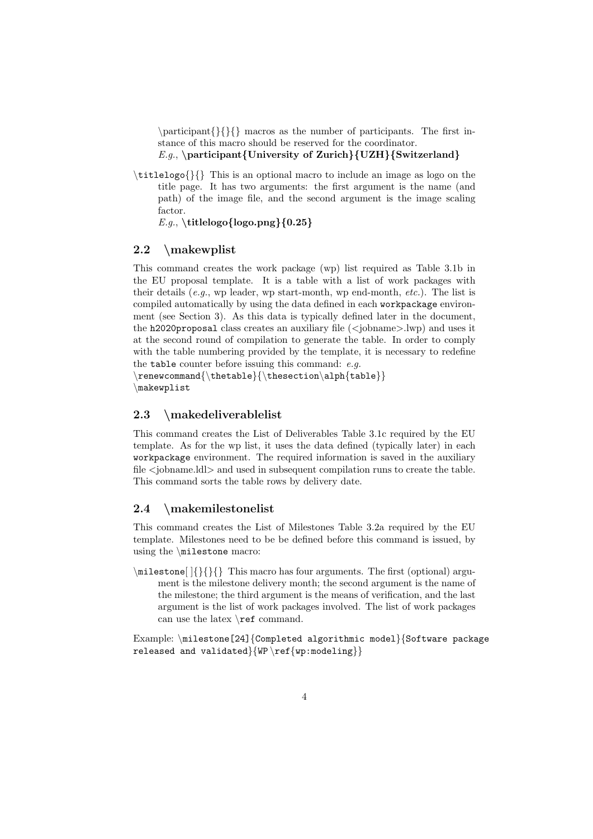*\*participant*{}{}{}* macros as the number of participants. The first instance of this macro should be reserved for the coordinator.

*E.g.*, *\***participant***{***University of Zurich***}{***UZH***}{***Switzerland***}*

*\*titlelogo*{}{}* This is an optional macro to include an image as logo on the title page. It has two arguments: the first argument is the name (and path) of the image file, and the second argument is the image scaling factor.

*E.g.*, *\***titlelogo***{***logo.png***}{***0.25***}*

#### **2.2** *\***makewplist**

This command creates the work package (wp) list required as Table 3.1b in the EU proposal template. It is a table with a list of work packages with their details (*e.g.*, wp leader, wp start-month, wp end-month, *etc.*). The list is compiled automatically by using the data defined in each workpackage environment (see Section 3). As this data is typically defined later in the document, the h2020proposal class creates an auxiliary file (*<*jobname*>*.lwp) and uses it at the second round of compilation to generate the table. In order to comply with the table numbering provided by the template, it is necessary to redefine the table counter before issuing this command: *e.g.*

*\*renewcommand*{\*thetable*}{\*thesection*\*alph*{*table*}} \*makewplist

#### **2.3** *\***makedeliverablelist**

This command creates the List of Deliverables Table 3.1c required by the EU template. As for the wp list, it uses the data defined (typically later) in each workpackage environment. The required information is saved in the auxiliary file *<*jobname.ldl*>* and used in subsequent compilation runs to create the table. This command sorts the table rows by delivery date.

#### **2.4** *\***makemilestonelist**

This command creates the List of Milestones Table 3.2a required by the EU template. Milestones need to be be defined before this command is issued, by using the *\*milestone macro:

*\*milestone[ ]*{}{}{}* This macro has four arguments. The first (optional) argument is the milestone delivery month; the second argument is the name of the milestone; the third argument is the means of verification, and the last argument is the list of work packages involved. The list of work packages can use the latex *\*ref command.

Example: *\*milestone[24]*{*Completed algorithmic model*}{*Software package released and validated*}{*WP *\*ref*{*wp:modeling*}}*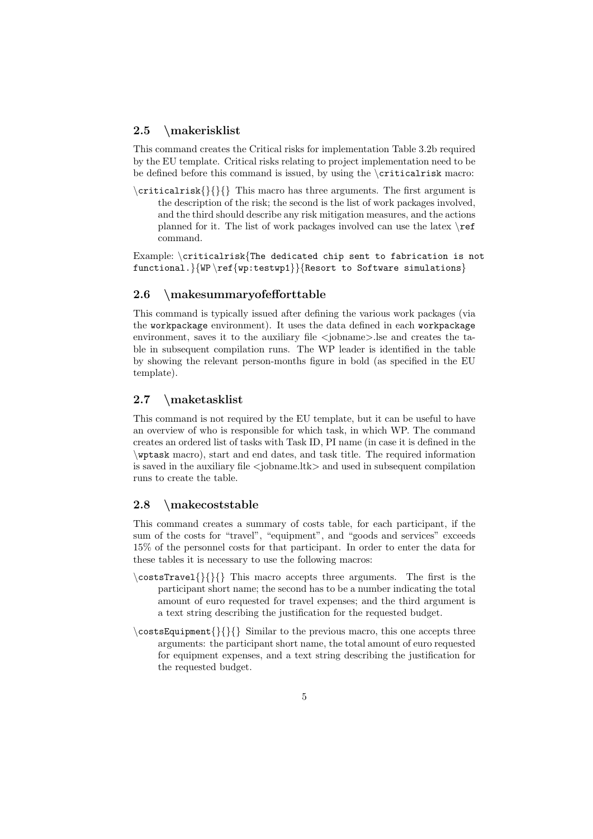#### **2.5** *\***makerisklist**

This command creates the Critical risks for implementation Table 3.2b required by the EU template. Critical risks relating to project implementation need to be be defined before this command is issued, by using the *\*criticalrisk macro:

*\*criticalrisk*{}{}{}* This macro has three arguments. The first argument is the description of the risk; the second is the list of work packages involved, and the third should describe any risk mitigation measures, and the actions planned for it. The list of work packages involved can use the latex *\*ref command.

Example: *\*criticalrisk*{*The dedicated chip sent to fabrication is not functional.*}{*WP *\*ref*{*wp:testwp1*}}{*Resort to Software simulations*}*

#### **2.6** *\***makesummaryofefforttable**

This command is typically issued after defining the various work packages (via the workpackage environment). It uses the data defined in each workpackage environment, saves it to the auxiliary file *<*jobname*>*.lse and creates the table in subsequent compilation runs. The WP leader is identified in the table by showing the relevant person-months figure in bold (as specified in the EU template).

#### **2.7** *\***maketasklist**

This command is not required by the EU template, but it can be useful to have an overview of who is responsible for which task, in which WP. The command creates an ordered list of tasks with Task ID, PI name (in case it is defined in the *\*wptask macro), start and end dates, and task title. The required information is saved in the auxiliary file *<*jobname.ltk*>* and used in subsequent compilation runs to create the table.

#### **2.8** *\***makecoststable**

This command creates a summary of costs table, for each participant, if the sum of the costs for "travel", "equipment", and "goods and services" exceeds 15% of the personnel costs for that participant. In order to enter the data for these tables it is necessary to use the following macros:

- *\*costsTravel*{}{}{}* This macro accepts three arguments. The first is the participant short name; the second has to be a number indicating the total amount of euro requested for travel expenses; and the third argument is a text string describing the justification for the requested budget.
- *\*costsEquipment*{}{}{}* Similar to the previous macro, this one accepts three arguments: the participant short name, the total amount of euro requested for equipment expenses, and a text string describing the justification for the requested budget.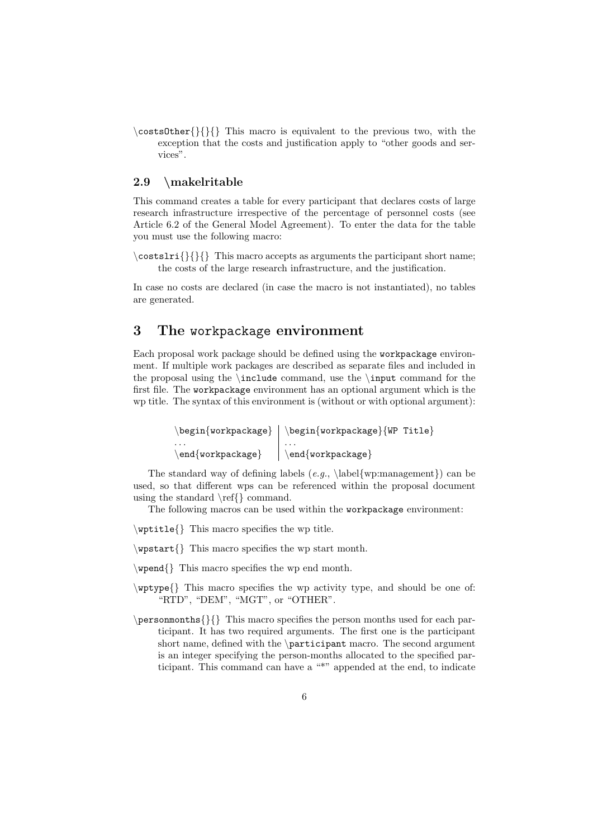*\*costsOther*{}{}{}* This macro is equivalent to the previous two, with the exception that the costs and justification apply to "other goods and services".

#### **2.9** *\***makelritable**

This command creates a table for every participant that declares costs of large research infrastructure irrespective of the percentage of personnel costs (see Article 6.2 of the General Model Agreement). To enter the data for the table you must use the following macro:

*\*costslri*{}{}{}* This macro accepts as arguments the participant short name; the costs of the large research infrastructure, and the justification.

In case no costs are declared (in case the macro is not instantiated), no tables are generated.

## **3 The** workpackage **environment**

Each proposal work package should be defined using the workpackage environment. If multiple work packages are described as separate files and included in the proposal using the *\*include command, use the *\*input command for the first file. The workpackage environment has an optional argument which is the wp title. The syntax of this environment is (without or with optional argument):

> *\*begin*{*workpackage*} \*begin*{*workpackage*}{*WP Title*}* . . . . . . *\*end*{*workpackage*} \*end*{*workpackage*}*

The standard way of defining labels (*e.g.*, *\*label*{*wp:management*}*) can be used, so that different wps can be referenced within the proposal document using the standard *\*ref*{}* command.

The following macros can be used within the workpackage environment:

*\*wptitle*{}* This macro specifies the wp title.

*\*wpstart*{}* This macro specifies the wp start month.

- *\*wpend*{}* This macro specifies the wp end month.
- *\*wptype*{}* This macro specifies the wp activity type, and should be one of: "RTD", "DEM", "MGT", or "OTHER".
- *\*personmonths*{}{}* This macro specifies the person months used for each participant. It has two required arguments. The first one is the participant short name, defined with the *\*participant macro. The second argument is an integer specifying the person-months allocated to the specified participant. This command can have a "\*" appended at the end, to indicate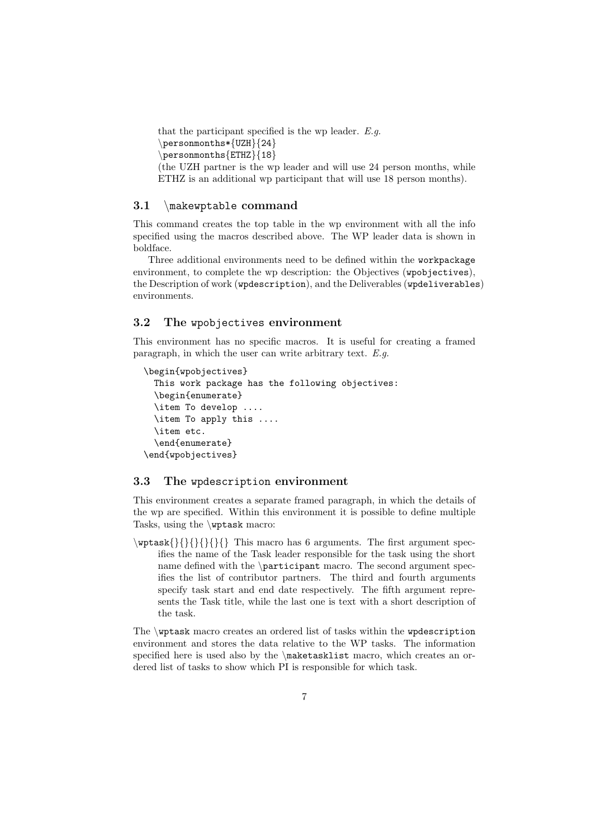that the participant specified is the wp leader. *E.g. \*personmonths\**{*UZH*}{*24*} \*personmonths*{*ETHZ*}{*18*}* (the UZH partner is the wp leader and will use 24 person months, while ETHZ is an additional wp participant that will use 18 person months).

#### **3.1** *\*makewptable **command**

This command creates the top table in the wp environment with all the info specified using the macros described above. The WP leader data is shown in boldface.

Three additional environments need to be defined within the workpackage environment, to complete the wp description: the Objectives (wpobjectives), the Description of work (wpdescription), and the Deliverables (wpdeliverables) environments.

#### **3.2 The** wpobjectives **environment**

This environment has no specific macros. It is useful for creating a framed paragraph, in which the user can write arbitrary text. *E.g.*

```
\begin{wpobjectives}
  This work package has the following objectives:
  \begin{enumerate}
  \item To develop ....
  \item To apply this ....
  \item etc.
  \end{enumerate}
\end{wpobjectives}
```
#### **3.3 The** wpdescription **environment**

This environment creates a separate framed paragraph, in which the details of the wp are specified. Within this environment it is possible to define multiple Tasks, using the *\*wptask macro:

*\*wptask*{}{}{}{}{}{}* This macro has 6 arguments. The first argument specifies the name of the Task leader responsible for the task using the short name defined with the *\*participant macro. The second argument specifies the list of contributor partners. The third and fourth arguments specify task start and end date respectively. The fifth argument represents the Task title, while the last one is text with a short description of the task.

The *\*wptask macro creates an ordered list of tasks within the wpdescription environment and stores the data relative to the WP tasks. The information specified here is used also by the *\*maketasklist macro, which creates an ordered list of tasks to show which PI is responsible for which task.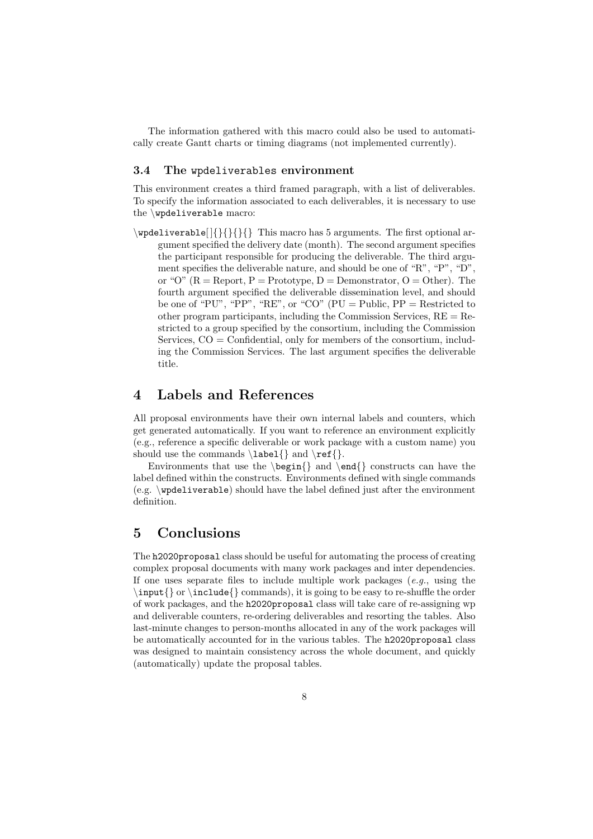The information gathered with this macro could also be used to automatically create Gantt charts or timing diagrams (not implemented currently).

#### **3.4 The** wpdeliverables **environment**

This environment creates a third framed paragraph, with a list of deliverables. To specify the information associated to each deliverables, it is necessary to use the *\*wpdeliverable macro:

*\*wpdeliverable[ ]*{}{}{}{}* This macro has 5 arguments. The first optional argument specified the delivery date (month). The second argument specifies the participant responsible for producing the deliverable. The third argument specifies the deliverable nature, and should be one of "R", "P", "D", or "O"  $(R =$  Report,  $P =$  Prototype,  $D =$  Demonstrator,  $O =$  Other). The fourth argument specified the deliverable dissemination level, and should be one of "PU", "PP", "RE", or "CO"  $(PU = Public, PP = Restricted to$ other program participants, including the Commission Services,  $RE = Re$ stricted to a group specified by the consortium, including the Commission Services,  $CO =$  Confidential, only for members of the consortium, including the Commission Services. The last argument specifies the deliverable title.

### **4 Labels and References**

All proposal environments have their own internal labels and counters, which get generated automatically. If you want to reference an environment explicitly (e.g., reference a specific deliverable or work package with a custom name) you should use the commands *\*label*{}* and *\*ref*{}*.

Environments that use the *\*begin*{}* and *\*end*{}* constructs can have the label defined within the constructs. Environments defined with single commands (e.g. *\*wpdeliverable) should have the label defined just after the environment definition.

## **5 Conclusions**

The h2020proposal class should be useful for automating the process of creating complex proposal documents with many work packages and inter dependencies. If one uses separate files to include multiple work packages (*e.g.*, using the *\*input*{}* or *\*include*{}* commands), it is going to be easy to re-shuffle the order of work packages, and the h2020proposal class will take care of re-assigning wp and deliverable counters, re-ordering deliverables and resorting the tables. Also last-minute changes to person-months allocated in any of the work packages will be automatically accounted for in the various tables. The h2020proposal class was designed to maintain consistency across the whole document, and quickly (automatically) update the proposal tables.